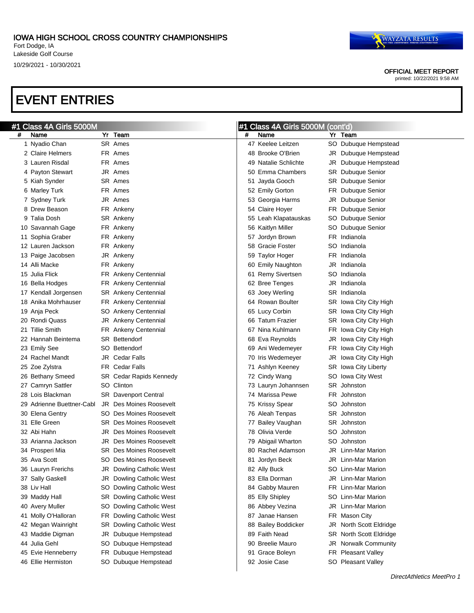OFFICIAL MEET REPORT

printed: 10/22/2021 9:58 AM

| #1 | Class 4A Girls 5000M      |     |                                 |    | Class 4A Girls 5000M (cont'd) |     |                           |
|----|---------------------------|-----|---------------------------------|----|-------------------------------|-----|---------------------------|
| #  | Name                      | Yr  | Team                            | #  | Name                          |     | Yr Team                   |
|    | 1 Nyadio Chan             |     | SR Ames                         |    | 47 Keelee Leitzen             |     | SO Dubuque Hempstead      |
|    | 2 Claire Helmers          |     | FR Ames                         |    | 48 Brooke O'Brien             | JR  | Dubuque Hempstead         |
|    | 3 Lauren Risdal           |     | FR Ames                         | 49 | <b>Natalie Schlichte</b>      | JR  | Dubuque Hempstead         |
|    | 4 Payton Stewart          |     | JR Ames                         | 50 | Emma Chambers                 | SR  | Dubuque Senior            |
|    | 5 Kiah Synder             |     | SR Ames                         | 51 | Jayda Gooch                   | SR  | Dubuque Senior            |
|    | 6 Marley Turk             |     | FR Ames                         |    | 52 Emily Gorton               | FR  | Dubuque Senior            |
|    | 7 Sydney Turk             |     | JR Ames                         |    | 53 Georgia Harms              | JR  | Dubuque Senior            |
|    | 8 Drew Beason             |     | FR Ankeny                       |    | 54 Claire Hoyer               | FR  | Dubuque Senior            |
|    | 9 Talia Dosh              |     | SR Ankeny                       |    | 55 Leah Klapatauskas          | SO. | Dubuque Senior            |
|    | 10 Savannah Gage          |     | FR Ankeny                       |    | 56 Kaitlyn Miller             |     | SO Dubuque Senior         |
|    | 11 Sophia Graber          |     | FR Ankeny                       | 57 | Jordyn Brown                  |     | FR Indianola              |
|    | 12 Lauren Jackson         |     | FR Ankeny                       | 58 | <b>Gracie Foster</b>          |     | SO Indianola              |
|    | 13 Paige Jacobsen         |     | JR Ankeny                       |    | 59 Taylor Hoger               |     | FR Indianola              |
|    | 14 Alli Macke             |     | FR Ankeny                       | 60 | <b>Emily Naughton</b>         | JR  | Indianola                 |
|    | 15 Julia Flick            |     | FR Ankeny Centennial            | 61 | <b>Remy Sivertsen</b>         |     | SO Indianola              |
|    | 16 Bella Hodges           |     | FR Ankeny Centennial            |    | 62 Bree Tenges                | JR  | Indianola                 |
|    | 17 Kendall Jorgensen      |     | <b>SR</b> Ankeny Centennial     |    | 63 Joey Werling               |     | SR Indianola              |
|    | 18 Anika Mohrhauser       |     | FR Ankeny Centennial            |    | 64 Rowan Boulter              |     | SR Iowa City City High    |
|    | 19 Anja Peck              |     | SO Ankeny Centennial            |    | 65 Lucy Corbin                |     | SR Iowa City City High    |
|    | 20 Rondi Quass            |     | JR Ankeny Centennial            |    | 66 Tatum Frazier              |     | SR Iowa City City High    |
|    | 21 Tillie Smith           |     | FR Ankeny Centennial            | 67 | Nina Kuhlmann                 | FR  | Iowa City City High       |
|    | 22 Hannah Beintema        |     | <b>SR</b> Bettendorf            |    | 68 Eva Reynolds               | JR  | Iowa City City High       |
|    | 23 Emily See              | SO. | Bettendorf                      |    | 69 Ani Wedemeyer              | FR  | Iowa City City High       |
|    | 24 Rachel Mandt           |     | <b>JR</b> Cedar Falls           | 70 | Iris Wedemeyer                | JR  | Iowa City City High       |
|    | 25 Zoe Zylstra            |     | <b>FR</b> Cedar Falls           | 71 | Ashlyn Keeney                 |     | SR Iowa City Liberty      |
|    | 26 Bethany Smeed          |     | SR Cedar Rapids Kennedy         |    | 72 Cindy Wang                 |     | SO Iowa City West         |
|    | 27 Camryn Sattler         |     | SO Clinton                      |    | 73 Lauryn Johannsen           |     | SR Johnston               |
|    | 28 Lois Blackman          |     | <b>SR</b> Davenport Central     |    | 74 Marissa Pewe               |     | FR Johnston               |
|    | 29 Adrienne Buettner-Cabl | JR. | Des Moines Roosevelt            |    | 75 Krissy Spear               |     | SO Johnston               |
|    | 30 Elena Gentry           |     | SO Des Moines Roosevelt         |    | 76 Aleah Tenpas               |     | SR Johnston               |
|    | 31 Elle Green             |     | <b>SR</b> Des Moines Roosevelt  | 77 | Bailey Vaughan                |     | SR Johnston               |
|    | 32 Abi Hahn               | JR  | Des Moines Roosevelt            |    | 78 Olivia Verde               |     | SO Johnston               |
|    | 33 Arianna Jackson        | JR  | Des Moines Roosevelt            |    | 79 Abigail Wharton            |     | SO Johnston               |
|    | 34 Prosperi Mia           |     | <b>SR</b> Des Moines Roosevelt  |    | 80 Rachel Adamson             |     | <b>JR</b> Linn-Mar Marion |
|    | 35 Ava Scott              |     | <b>SO Des Moines Roosevelt</b>  |    | 81 Jordyn Beck                |     | JR Linn-Mar Marion        |
|    | 36 Lauryn Frerichs        |     | JR Dowling Catholic West        |    | 82 Ally Buck                  |     | SO Linn-Mar Marion        |
|    | 37 Sally Gaskell          |     | JR Dowling Catholic West        |    | 83 Ella Dorman                |     | JR Linn-Mar Marion        |
|    | 38 Liv Hall               |     | SO Dowling Catholic West        |    | 84 Gabby Mauren               |     | FR Linn-Mar Marion        |
|    | 39 Maddy Hall             |     | <b>SR</b> Dowling Catholic West |    | 85 Elly Shipley               |     | SO Linn-Mar Marion        |
|    | 40 Avery Muller           |     | SO Dowling Catholic West        |    | 86 Abbey Vezina               |     | JR Linn-Mar Marion        |
|    | 41 Molly O'Halloran       |     | FR Dowling Catholic West        | 87 | Janae Hansen                  |     | FR Mason City             |
|    | 42 Megan Wainright        |     | <b>SR</b> Dowling Catholic West |    | 88 Bailey Boddicker           |     | JR North Scott Eldridge   |
|    | 43 Maddie Digman          | JR  | Dubuque Hempstead               |    | 89 Faith Nead                 |     | SR North Scott Eldridge   |
|    | 44 Julia Gehl             |     | SO Dubuque Hempstead            |    | 90 Breelie Mauro              |     | JR Norwalk Community      |
|    | 45 Evie Henneberry        |     | FR Dubuque Hempstead            |    | 91 Grace Boleyn               |     | FR Pleasant Valley        |
|    | 46 Ellie Hermiston        |     | SO Dubuque Hempstead            |    | 92 Josie Case                 |     | SO Pleasant Valley        |
|    |                           |     |                                 |    |                               |     |                           |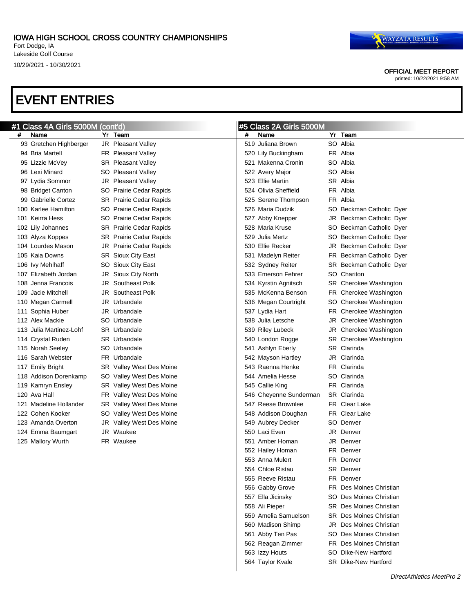OFFICIAL MEET REPORT

printed: 10/22/2021 9:58 AM

|   | #1 Class 4A Girls 5000M (cont'd) |                                |   | #5 Class 2A Girls 5000M |                                |
|---|----------------------------------|--------------------------------|---|-------------------------|--------------------------------|
| # | Name                             | Yr Team                        | # | Name                    | Yr Team                        |
|   | 93 Gretchen Highberger           | JR Pleasant Valley             |   | 519 Juliana Brown       | SO Albia                       |
|   | 94 Bria Martell                  | FR Pleasant Valley             |   | 520 Lily Buckingham     | FR Albia                       |
|   | 95 Lizzie McVey                  | SR Pleasant Valley             |   | 521 Makenna Cronin      | SO Albia                       |
|   | 96 Lexi Minard                   | SO Pleasant Valley             |   | 522 Avery Major         | SO Albia                       |
|   | 97 Lydia Sommor                  | JR Pleasant Valley             |   | 523 Ellie Martin        | SR Albia                       |
|   | 98 Bridget Canton                | SO Prairie Cedar Rapids        |   | 524 Olivia Sheffield    | FR Albia                       |
|   | 99 Gabrielle Cortez              | <b>SR</b> Prairie Cedar Rapids |   | 525 Serene Thompson     | FR Albia                       |
|   | 100 Karlee Hamilton              | SO Prairie Cedar Rapids        |   | 526 Maria Dudzik        | SO Beckman Catholic Dyer       |
|   | 101 Keirra Hess                  | SO Prairie Cedar Rapids        |   | 527 Abby Knepper        | JR Beckman Catholic Dyer       |
|   | 102 Lily Johannes                | <b>SR</b> Prairie Cedar Rapids |   | 528 Maria Kruse         | SO Beckman Catholic Dyer       |
|   | 103 Alyza Koppes                 | <b>SR</b> Prairie Cedar Rapids |   | 529 Julia Mertz         | SO Beckman Catholic Dyer       |
|   | 104 Lourdes Mason                | JR Prairie Cedar Rapids        |   | 530 Ellie Recker        | JR Beckman Catholic Dyer       |
|   | 105 Kaia Downs                   | SR Sioux City East             |   | 531 Madelyn Reiter      | FR Beckman Catholic Dyer       |
|   | 106 lvy Mehlhaff                 | SO Sioux City East             |   | 532 Sydney Reiter       | SR Beckman Catholic Dyer       |
|   | 107 Elizabeth Jordan             | JR Sioux City North            |   | 533 Emerson Fehrer      | SO Chariton                    |
|   | 108 Jenna Francois               | JR Southeast Polk              |   | 534 Kyrstin Agnitsch    | SR Cherokee Washington         |
|   | 109 Jacie Mitchell               | <b>JR</b> Southeast Polk       |   | 535 McKenna Benson      | FR Cherokee Washington         |
|   | 110 Megan Carmell                | JR Urbandale                   |   | 536 Megan Courtright    | SO Cherokee Washington         |
|   | 111 Sophia Huber                 | JR Urbandale                   |   | 537 Lydia Hart          | FR Cherokee Washington         |
|   | 112 Alex Mackie                  | SO Urbandale                   |   | 538 Julia Letsche       | JR Cherokee Washington         |
|   | 113 Julia Martinez-Lohf          | <b>SR</b> Urbandale            |   | 539 Riley Lubeck        | JR Cherokee Washington         |
|   | 114 Crystal Ruden                | <b>SR</b> Urbandale            |   | 540 London Rogge        | SR Cherokee Washington         |
|   | 115 Norah Seeley                 | SO Urbandale                   |   | 541 Ashlyn Eberly       | SR Clarinda                    |
|   | 116 Sarah Webster                | FR Urbandale                   |   | 542 Mayson Hartley      | JR Clarinda                    |
|   | 117 Emily Bright                 | SR Valley West Des Moine       |   | 543 Raenna Henke        | FR Clarinda                    |
|   | 118 Addison Dorenkamp            | SO Valley West Des Moine       |   | 544 Amelia Hesse        | SO Clarinda                    |
|   | 119 Kamryn Ensley                | SR Valley West Des Moine       |   | 545 Callie King         | FR Clarinda                    |
|   | 120 Ava Hall                     | FR Valley West Des Moine       |   | 546 Cheyenne Sunderman  | SR Clarinda                    |
|   | 121 Madeline Hollander           | SR Valley West Des Moine       |   | 547 Reese Brownlee      | FR Clear Lake                  |
|   | 122 Cohen Kooker                 | SO Valley West Des Moine       |   | 548 Addison Doughan     | FR Clear Lake                  |
|   | 123 Amanda Overton               | JR Valley West Des Moine       |   | 549 Aubrey Decker       | SO Denver                      |
|   | 124 Emma Baumgart                | JR Waukee                      |   | 550 Laci Even           | JR Denver                      |
|   | 125 Mallory Wurth                | FR Waukee                      |   | 551 Amber Homan         | JR Denver                      |
|   |                                  |                                |   | 552 Hailey Homan        | FR Denver                      |
|   |                                  |                                |   | 553 Anna Mulert         | FR Denver                      |
|   |                                  |                                |   | 554 Chloe Ristau        | SR Denver                      |
|   |                                  |                                |   | 555 Reeve Ristau        | FR Denver                      |
|   |                                  |                                |   | 556 Gabby Grove         | <b>FR</b> Des Moines Christian |
|   |                                  |                                |   | 557 Ella Jicinsky       | SO Des Moines Christian        |
|   |                                  |                                |   | 558 Ali Pieper          | <b>SR</b> Des Moines Christian |
|   |                                  |                                |   | 559 Amelia Samuelson    | <b>SR</b> Des Moines Christian |
|   |                                  |                                |   | 560 Madison Shimp       | <b>JR</b> Des Moines Christian |
|   |                                  |                                |   | 561 Abby Ten Pas        | SO Des Moines Christian        |
|   |                                  |                                |   | 562 Reagan Zimmer       | <b>FR</b> Des Moines Christian |
|   |                                  |                                |   | 563 Izzy Houts          | SO Dike-New Hartford           |
|   |                                  |                                |   | 564 Taylor Kvale        | <b>SR</b> Dike-New Hartford    |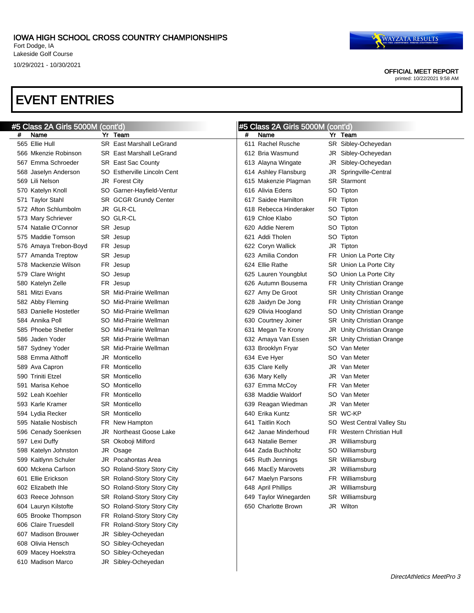#### OFFICIAL MEET REPORT

printed: 10/22/2021 9:58 AM

|   | #5 Class 2A Girls 5000M (cont'd) |    |                                 |   | #5 Class 2A Girls 5000M (cont'd) |     |                            |
|---|----------------------------------|----|---------------------------------|---|----------------------------------|-----|----------------------------|
| # | Name                             |    | Yr Team                         | # | Name                             |     | Yr Team                    |
|   | 565 Ellie Hull                   |    | SR East Marshall LeGrand        |   | 611 Rachel Rusche                |     | SR Sibley-Ocheyedan        |
|   | 566 Mkenzie Robinson             |    | <b>SR</b> East Marshall LeGrand |   | 612 Bria Wasmund                 |     | JR Sibley-Ocheyedan        |
|   | 567 Emma Schroeder               |    | <b>SR</b> East Sac County       |   | 613 Alayna Wingate               |     | JR Sibley-Ocheyedan        |
|   | 568 Jaselyn Anderson             |    | SO Estherville Lincoln Cent     |   | 614 Ashley Flansburg             |     | JR Springville-Central     |
|   | 569 Lili Nelson                  |    | JR Forest City                  |   | 615 Makenzie Plagman             |     | <b>SR</b> Starmont         |
|   | 570 Katelyn Knoll                |    | SO Garner-Hayfield-Ventur       |   | 616 Alivia Edens                 |     | SO Tipton                  |
|   | 571 Taylor Stahl                 |    | SR GCGR Grundy Center           |   | 617 Saidee Hamilton              |     | FR Tipton                  |
|   | 572 Afton Schlumbolm             |    | JR GLR-CL                       |   | 618 Rebecca Hinderaker           |     | SO Tipton                  |
|   | 573 Mary Schriever               |    | SO GLR-CL                       |   | 619 Chloe Klabo                  |     | SO Tipton                  |
|   | 574 Natalie O'Connor             |    | SR Jesup                        |   | 620 Addie Nerem                  |     | SO Tipton                  |
|   | 575 Maddie Tomson                |    | SR Jesup                        |   | 621 Addi Tholen                  |     | SO Tipton                  |
|   | 576 Amaya Trebon-Boyd            |    | FR Jesup                        |   | 622 Coryn Wallick                |     | JR Tipton                  |
|   | 577 Amanda Treptow               |    | SR Jesup                        |   | 623 Amilia Condon                |     | FR Union La Porte City     |
|   | 578 Mackenzie Wilson             |    | FR Jesup                        |   | 624 Ellie Rathe                  |     | SR Union La Porte City     |
|   | 579 Clare Wright                 | SO | Jesup                           |   | 625 Lauren Youngblut             |     | SO Union La Porte City     |
|   | 580 Katelyn Zelle                |    | FR Jesup                        |   | 626 Autumn Bousema               |     | FR Unity Christian Orange  |
|   | 581 Mitzi Evans                  |    | <b>SR</b> Mid-Prairie Wellman   |   | 627 Amy De Groot                 |     | SR Unity Christian Orange  |
|   | 582 Abby Fleming                 |    | SO Mid-Prairie Wellman          |   | 628 Jaidyn De Jong               |     | FR Unity Christian Orange  |
|   | 583 Danielle Hostetler           |    | SO Mid-Prairie Wellman          |   | 629 Olivia Hoogland              | SO. | Unity Christian Orange     |
|   | 584 Annika Poll                  |    | SO Mid-Prairie Wellman          |   | 630 Courtney Joiner              |     | SR Unity Christian Orange  |
|   | 585 Phoebe Shetler               |    | SO Mid-Prairie Wellman          |   | 631 Megan Te Krony               |     | JR Unity Christian Orange  |
|   | 586 Jaden Yoder                  |    | <b>SR</b> Mid-Prairie Wellman   |   | 632 Amaya Van Essen              |     | SR Unity Christian Orange  |
|   | 587 Sydney Yoder                 |    | SR Mid-Prairie Wellman          |   | 633 Brooklyn Fryar               |     | SO Van Meter               |
|   | 588 Emma Althoff                 |    | JR Monticello                   |   | 634 Eve Hyer                     |     | SO Van Meter               |
|   | 589 Ava Capron                   |    | <b>FR</b> Monticello            |   | 635 Clare Kelly                  |     | JR Van Meter               |
|   | 590 Triniti Etzel                |    | <b>SR</b> Monticello            |   | 636 Mary Kelly                   |     | JR Van Meter               |
|   | 591 Marisa Kehoe                 |    | SO Monticello                   |   | 637 Emma McCoy                   |     | FR Van Meter               |
|   | 592 Leah Koehler                 |    | <b>FR</b> Monticello            |   | 638 Maddie Waldorf               |     | SO Van Meter               |
|   | 593 Karle Kramer                 |    | <b>SR</b> Monticello            |   | 639 Reagan Wiedman               |     | JR Van Meter               |
|   | 594 Lydia Recker                 |    | <b>SR Monticello</b>            |   | 640 Erika Kuntz                  |     | SR WC-KP                   |
|   | 595 Natalie Nosbisch             |    | FR New Hampton                  |   | 641 Taitlin Koch                 |     | SO West Central Valley Stu |
|   | 596 Cenady Soenksen              |    | JR Northeast Goose Lake         |   | 642 Janae Minderhoud             |     | FR Western Christian Hull  |
|   | 597 Lexi Duffy                   |    | SR Okoboji Milford              |   | 643 Natalie Bemer                |     | JR Williamsburg            |
|   | 598 Katelyn Johnston             |    | JR Osage                        |   | 644 Zada Buchholtz               |     | SO Williamsburg            |
|   | 599 Kaitlynn Schuler             |    | JR Pocahontas Area              |   | 645 Ruth Jennings                |     | SR Williamsburg            |
|   | 600 Mckena Carlson               |    | SO Roland-Story Story City      |   | 646 MacEy Marovets               |     | JR Williamsburg            |
|   | 601 Ellie Erickson               |    | SR Roland-Story Story City      |   | 647 Maelyn Parsons               |     | FR Williamsburg            |
|   | 602 Elizabeth Ihle               |    | SO Roland-Story Story City      |   | 648 April Phillips               |     | JR Williamsburg            |
|   | 603 Reece Johnson                |    | SR Roland-Story Story City      |   | 649 Taylor Winegarden            |     | SR Williamsburg            |
|   | 604 Lauryn Kilstofte             |    | SO Roland-Story Story City      |   | 650 Charlotte Brown              |     | JR Wilton                  |
|   | 605 Brooke Thompson              |    | FR Roland-Story Story City      |   |                                  |     |                            |
|   | 606 Claire Truesdell             |    | FR Roland-Story Story City      |   |                                  |     |                            |
|   | 607 Madison Brouwer              |    | JR Sibley-Ocheyedan             |   |                                  |     |                            |
|   | 608 Olivia Hensch                |    | SO Sibley-Ocheyedan             |   |                                  |     |                            |
|   | 609 Macey Hoekstra               |    | SO Sibley-Ocheyedan             |   |                                  |     |                            |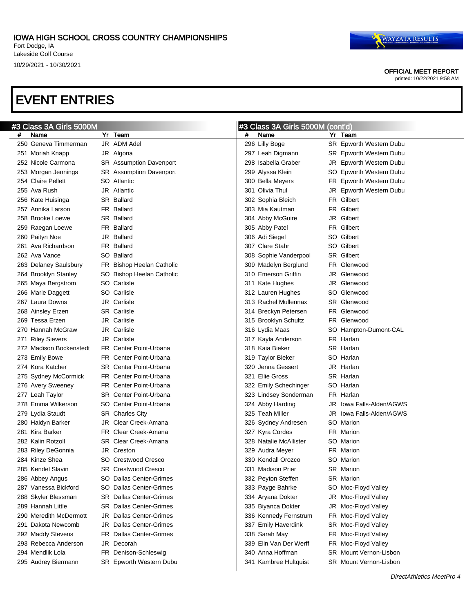OFFICIAL MEET REPORT

printed: 10/22/2021 9:58 AM

|   | #3 Class 3A Girls 5000M |     |                                |   | #3 Class 3A Girls 5000M (cont'd) |                          |
|---|-------------------------|-----|--------------------------------|---|----------------------------------|--------------------------|
| # | Name                    |     | Yr Team                        | # | Name                             | Yr Team                  |
|   | 250 Geneva Timmerman    |     | JR ADM Adel                    |   | 296 Lilly Boge                   | SR Epworth Western Dubu  |
|   | 251 Moriah Knapp        |     | JR Algona                      |   | 297 Leah Digmann                 | SR Epworth Western Dubu  |
|   | 252 Nicole Carmona      |     | SR Assumption Davenport        |   | 298 Isabella Graber              | JR Epworth Western Dubu  |
|   | 253 Morgan Jennings     |     | SR Assumption Davenport        |   | 299 Alyssa Klein                 | SO Epworth Western Dubu  |
|   | 254 Claire Pellett      |     | SO Atlantic                    |   | 300 Bella Meyers                 | FR Epworth Western Dubu  |
|   | 255 Ava Rush            |     | <b>JR</b> Atlantic             |   | 301 Olivia Thul                  | JR Epworth Western Dubu  |
|   | 256 Kate Huisinga       |     | <b>SR Ballard</b>              |   | 302 Sophia Bleich                | FR Gilbert               |
|   | 257 Annika Larson       |     | FR Ballard                     |   | 303 Mia Kautman                  | FR Gilbert               |
|   | 258 Brooke Loewe        |     | <b>SR Ballard</b>              |   | 304 Abby McGuire                 | JR Gilbert               |
|   | 259 Raegan Loewe        |     | FR Ballard                     |   | 305 Abby Patel                   | FR Gilbert               |
|   | 260 Paityn Noe          |     | JR Ballard                     |   | 306 Adi Siegel                   | SO Gilbert               |
|   | 261 Ava Richardson      |     | FR Ballard                     |   | 307 Clare Stahr                  | SO Gilbert               |
|   | 262 Ava Vance           |     | SO Ballard                     |   | 308 Sophie Vanderpool            | SR Gilbert               |
|   | 263 Delaney Saulsbury   |     | FR Bishop Heelan Catholic      |   | 309 Madelyn Berglund             | FR Glenwood              |
|   | 264 Brooklyn Stanley    |     | SO Bishop Heelan Catholic      |   | 310 Emerson Griffin              | JR Glenwood              |
|   | 265 Maya Bergstrom      |     | SO Carlisle                    |   | 311 Kate Hughes                  | JR Glenwood              |
|   | 266 Marie Daggett       |     | SO Carlisle                    |   | 312 Lauren Hughes                | SO Glenwood              |
|   | 267 Laura Downs         |     | <b>JR</b> Carlisle             |   | 313 Rachel Mullennax             | SR Glenwood              |
|   | 268 Ainsley Erzen       |     | <b>SR</b> Carlisle             |   | 314 Breckyn Petersen             | FR Glenwood              |
|   | 269 Tessa Erzen         |     | JR Carlisle                    |   | 315 Brooklyn Schultz             | FR Glenwood              |
|   | 270 Hannah McGraw       |     | JR Carlisle                    |   | 316 Lydia Maas                   | SO Hampton-Dumont-CAL    |
|   | 271 Riley Sievers       |     | JR Carlisle                    |   | 317 Kayla Anderson               | FR Harlan                |
|   | 272 Madison Bockenstedt |     | FR Center Point-Urbana         |   | 318 Kaia Bieker                  | SR Harlan                |
|   | 273 Emily Bowe          |     | FR Center Point-Urbana         |   | 319 Taylor Bieker                | SO Harlan                |
|   | 274 Kora Katcher        |     | <b>SR</b> Center Point-Urbana  |   | 320 Jenna Gessert                | JR Harlan                |
|   | 275 Sydney McCormick    |     | FR Center Point-Urbana         |   | 321 Ellie Gross                  | SR Harlan                |
|   | 276 Avery Sweeney       |     | FR Center Point-Urbana         |   | 322 Emily Schechinger            | SO Harlan                |
|   | 277 Leah Taylor         |     | <b>SR</b> Center Point-Urbana  |   | 323 Lindsey Sonderman            | FR Harlan                |
|   | 278 Emma Wilkerson      |     | SO Center Point-Urbana         |   | 324 Abby Harding                 | JR lowa Falls-Alden/AGWS |
|   | 279 Lydia Staudt        |     | <b>SR</b> Charles City         |   | 325 Teah Miller                  | JR lowa Falls-Alden/AGWS |
|   | 280 Haidyn Barker       |     | JR Clear Creek-Amana           |   | 326 Sydney Andresen              | SO Marion                |
|   | 281 Kira Barker         |     | FR Clear Creek-Amana           |   | 327 Kyra Cordes                  | FR Marion                |
|   | 282 Kalin Rotzoll       |     | SR Clear Creek-Amana           |   | 328 Natalie McAllister           | SO Marion                |
|   | 283 Riley DeGonnia      |     | JR Creston                     |   | 329 Audra Meyer                  | FR Marion                |
|   | 284  Kinze Shea         |     | SO Crestwood Cresco            |   | 330 Kendall Orozco               | SO Marion                |
|   | 285 Kendel Slavin       |     | SR Crestwood Cresco            |   | 331 Madison Prier                | SR Marion                |
|   | 286 Abbey Angus         |     | SO Dallas Center-Grimes        |   | 332 Peyton Steffen               | <b>SR</b> Marion         |
|   | 287 Vanessa Bickford    |     | SO Dallas Center-Grimes        |   | 333 Payge Bahrke                 | SO Moc-Floyd Valley      |
|   | 288 Skyler Blessman     |     | <b>SR</b> Dallas Center-Grimes |   | 334 Aryana Dokter                | JR Moc-Floyd Valley      |
|   | 289 Hannah Little       |     | <b>SR</b> Dallas Center-Grimes |   | 335 Biyanca Dokter               | JR Moc-Floyd Valley      |
|   | 290 Meredith McDermott  | JR  | <b>Dallas Center-Grimes</b>    |   | 336 Kennedy Fernstrum            | FR Moc-Floyd Valley      |
|   | 291 Dakota Newcomb      |     | <b>JR</b> Dallas Center-Grimes |   | 337 Emily Haverdink              | SR Moc-Floyd Valley      |
|   | 292 Maddy Stevens       | FR. | Dallas Center-Grimes           |   | 338 Sarah May                    | FR Moc-Floyd Valley      |
|   | 293 Rebecca Anderson    |     | JR Decorah                     |   | 339 Elin Van Der Werff           | FR Moc-Floyd Valley      |
|   | 294 Mendlik Lola        |     | FR Denison-Schleswig           |   | 340  Anna Hoffman                | SR Mount Vernon-Lisbon   |
|   | 295 Audrey Biermann     |     | SR Epworth Western Dubu        |   | 341 Kambree Hultquist            | SR Mount Vernon-Lisbon   |
|   |                         |     |                                |   |                                  |                          |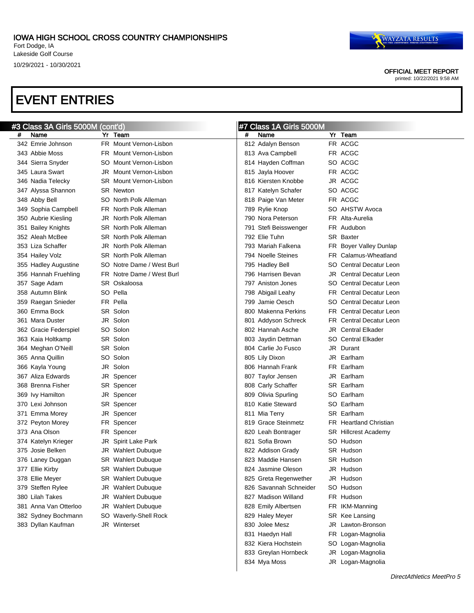

OFFICIAL MEET REPORT

printed: 10/22/2021 9:58 AM

# EVENT ENTRIES

|   | #3 Class 3A Girls 5000M (cont'd) |     |                               |     | #7 Class 1A Girls 5000M |     |                                |
|---|----------------------------------|-----|-------------------------------|-----|-------------------------|-----|--------------------------------|
| # | Name                             |     | Yr Team                       | #   | Name                    |     | Yr Team                        |
|   | 342 Emrie Johnson                |     | FR Mount Vernon-Lisbon        |     | 812 Adalyn Benson       |     | FR ACGC                        |
|   | 343 Abbie Moss                   |     | FR Mount Vernon-Lisbon        |     | 813 Ava Campbell        |     | FR ACGC                        |
|   | 344 Sierra Snyder                |     | SO Mount Vernon-Lisbon        |     | 814 Hayden Coffman      |     | SO ACGC                        |
|   | 345 Laura Swart                  | JR. | Mount Vernon-Lisbon           | 815 | Jayla Hoover            |     | FR ACGC                        |
|   | 346 Nadia Telecky                |     | <b>SR</b> Mount Vernon-Lisbon |     | 816 Kiersten Knobbe     |     | JR ACGC                        |
|   | 347 Alyssa Shannon               |     | <b>SR</b> Newton              |     | 817 Katelyn Schafer     |     | SO ACGC                        |
|   | 348 Abby Bell                    |     | SO North Polk Alleman         |     | 818 Paige Van Meter     |     | FR ACGC                        |
|   | 349 Sophia Campbell              |     | FR North Polk Alleman         |     | 789 Rylie Knop          |     | SO AHSTW Avoca                 |
|   | 350 Aubrie Kiesling              |     | JR North Polk Alleman         |     | 790 Nora Peterson       |     | FR Alta-Aurelia                |
|   | 351 Bailey Knights               |     | <b>SR</b> North Polk Alleman  |     | 791 Stefi Beisswenger   |     | FR Audubon                     |
|   | 352 Aleah McBee                  |     | <b>SR</b> North Polk Alleman  |     | 792 Elie Tuhn           |     | SR Baxter                      |
|   | 353 Liza Schaffer                |     | JR North Polk Alleman         |     | 793 Mariah Falkena      |     | FR Boyer Valley Dunlap         |
|   | 354 Hailey Volz                  |     | SR North Polk Alleman         |     | 794 Noelle Steines      |     | FR Calamus-Wheatland           |
|   | 355 Hadley Augustine             |     | SO Notre Dame / West Burl     |     | 795 Hadley Bell         |     | SO Central Decatur Leon        |
|   | 356 Hannah Fruehling             |     | FR Notre Dame / West Burl     |     | 796 Harrisen Bevan      |     | <b>JR</b> Central Decatur Leon |
|   | 357 Sage Adam                    |     | SR Oskaloosa                  |     | 797 Aniston Jones       |     | SO Central Decatur Leon        |
|   | 358 Autumn Blink                 |     | SO Pella                      |     | 798 Abigail Leahy       |     | <b>FR</b> Central Decatur Leon |
|   | 359 Raegan Snieder               |     | FR Pella                      |     | 799 Jamie Oesch         |     | SO Central Decatur Leon        |
|   | 360  Emma Bock                   |     | SR Solon                      |     | 800 Makenna Perkins     |     | <b>FR</b> Central Decatur Leon |
|   | 361 Mara Duster                  | JR  | Solon                         |     | 801 Addyson Schreck     |     | <b>FR</b> Central Decatur Leon |
|   | 362 Gracie Federspiel            |     | SO Solon                      |     | 802 Hannah Asche        |     | <b>JR</b> Central Elkader      |
|   | 363 Kaia Holtkamp                |     | SR Solon                      |     | 803 Jaydin Dettman      |     | <b>SO</b> Central Elkader      |
|   | 364 Meghan O'Neill               |     | SR Solon                      |     | 804 Carlie Jo Fusco     |     | JR Durant                      |
|   | 365  Anna Quillin                |     | SO Solon                      |     | 805 Lily Dixon          | JRI | Earlham                        |
|   | 366 Kayla Young                  | JR  | Solon                         |     | 806 Hannah Frank        | FR. | Earlham                        |
|   | 367 Aliza Edwards                |     | JR Spencer                    |     | 807 Taylor Jensen       | JR  | Earlham                        |
|   | 368 Brenna Fisher                |     | SR Spencer                    |     | 808 Carly Schaffer      |     | SR Earlham                     |
|   | 369 Ivy Hamilton                 |     | JR Spencer                    |     | 809 Olivia Spurling     |     | SO Earlham                     |
|   | 370 Lexi Johnson                 |     | SR Spencer                    |     | 810 Katie Steward       |     | SO Earlham                     |
|   | 371 Emma Morey                   |     | JR Spencer                    |     | 811 Mia Terry           |     | SR Earlham                     |
|   | 372 Peyton Morey                 |     | FR Spencer                    |     | 819 Grace Steinmetz     |     | <b>FR</b> Heartland Christian  |
|   | 373 Ana Olson                    |     | FR Spencer                    |     | 820 Leah Bontrager      |     | <b>SR</b> Hillcrest Academy    |
|   | 374 Katelyn Krieger              |     | JR Spirit Lake Park           |     | 821 Sofia Brown         |     | SO Hudson                      |
|   | 375 Josie Belken                 |     | JR Wahlert Dubuque            |     | 822 Addison Grady       |     | SR Hudson                      |
|   | 376 Laney Duggan                 |     | <b>SR</b> Wahlert Dubuque     |     | 823 Maddie Hansen       |     | SR Hudson                      |
|   | 377 Ellie Kirby                  |     | <b>SR</b> Wahlert Dubuque     |     | 824 Jasmine Oleson      |     | JR Hudson                      |
|   | 378 Ellie Meyer                  |     | <b>SR</b> Wahlert Dubuque     |     | 825 Greta Regenwether   |     | JR Hudson                      |
|   | 379 Steffen Rylee                |     | JR Wahlert Dubuque            |     | 826 Savannah Schneider  |     | SO Hudson                      |
|   | 380 Lilah Takes                  | JR  | <b>Wahlert Dubuque</b>        |     | 827 Madison Willand     |     | FR Hudson                      |
|   | 381 Anna Van Otterloo            | JR  | <b>Wahlert Dubuque</b>        |     | 828 Emily Albertsen     |     | FR IKM-Manning                 |
|   | 382 Sydney Bochmann              |     | SO Waverly-Shell Rock         |     | 829 Haley Meyer         |     | SR Kee Lansing                 |
|   | 383 Dyllan Kaufman               |     | JR Winterset                  |     | 830 Jolee Mesz          |     | JR Lawton-Bronson              |
|   |                                  |     |                               |     | 831 Haedyn Hall         |     | FR Logan-Magnolia              |
|   |                                  |     |                               |     | 832 Kiera Hochstein     |     | SO Logan-Magnolia              |
|   |                                  |     |                               |     | 833 Greylan Hornbeck    |     | JR Logan-Magnolia              |
|   |                                  |     |                               |     | 834 Mya Moss            |     | JR Logan-Magnolia              |

 $\overline{\phantom{a}}$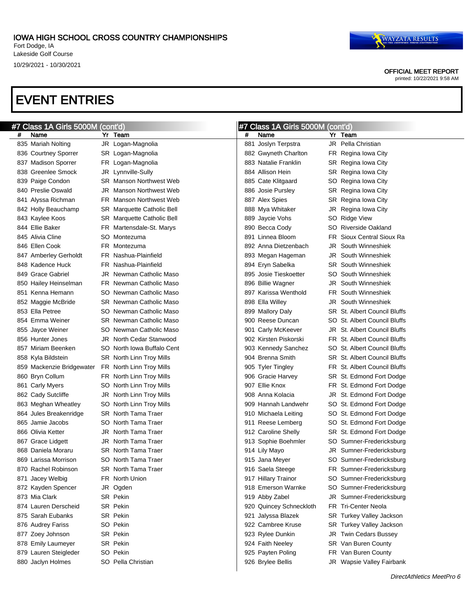OFFICIAL MEET REPORT

printed: 10/22/2021 9:58 AM

|   | #7 Class 1A Girls 5000M (cont'd) |     |                                   |     | #7 Class 1A Girls 5000M (cont'd) |     |                                     |
|---|----------------------------------|-----|-----------------------------------|-----|----------------------------------|-----|-------------------------------------|
| # | Name                             |     | Yr Team                           | #   | Name                             |     | Yr Team                             |
|   | 835 Mariah Nolting               |     | JR Logan-Magnolia                 | 881 | Joslyn Terpstra                  |     | <b>JR</b> Pella Christian           |
|   | 836 Courtney Sporrer             |     | SR Logan-Magnolia                 |     | 882 Gwyneth Charlton             |     | FR Regina Iowa City                 |
|   | 837 Madison Sporrer              |     | FR Logan-Magnolia                 |     | 883 Natalie Franklin             |     | SR Regina Iowa City                 |
|   | 838 Greenlee Smock               |     | JR Lynnville-Sully                |     | 884 Allison Hein                 |     | SR Regina Iowa City                 |
|   | 839 Paige Condon                 |     | <b>SR</b> Manson Northwest Web    |     | 885 Cate Klitgaard               |     | SO Regina Iowa City                 |
|   | 840 Preslie Oswald               | JR  | Manson Northwest Web              |     | 886 Josie Pursley                |     | SR Regina Iowa City                 |
|   | 841 Alyssa Richman               |     | FR Manson Northwest Web           |     | 887 Alex Spies                   |     | SR Regina Iowa City                 |
|   | 842 Holly Beauchamp              |     | SR Marquette Catholic Bell        |     | 888 Mya Whitaker                 |     | JR Regina Iowa City                 |
|   | 843 Kaylee Koos                  |     | <b>SR</b> Marquette Catholic Bell |     | 889 Jaycie Vohs                  |     | SO Ridge View                       |
|   | 844 Ellie Baker                  |     | FR Martensdale-St. Marys          |     | 890 Becca Cody                   |     | SO Riverside Oakland                |
|   | 845 Alivia Cline                 | SO. | Montezuma                         |     | 891 Linnea Bloom                 | FR. | Sioux Central Sioux Ra              |
|   | 846 Ellen Cook                   |     | FR Montezuma                      |     | 892 Anna Dietzenbach             | JR  | South Winneshiek                    |
|   | 847 Amberley Gerholdt            |     | FR Nashua-Plainfield              |     | 893 Megan Hageman                | JR  | South Winneshiek                    |
|   | 848 Kadence Huck                 | FR. | Nashua-Plainfield                 |     | 894 Eryn Sabelka                 |     | <b>SR</b> South Winneshiek          |
|   | 849 Grace Gabriel                | JR  | Newman Catholic Maso              |     | 895 Josie Tieskoetter            |     | <b>SO</b> South Winneshiek          |
|   | 850 Hailey Heinselman            |     | FR Newman Catholic Maso           |     | 896 Billie Wagner                | JR  | South Winneshiek                    |
|   | 851 Kenna Hemann                 | SO. | Newman Catholic Maso              |     | 897 Karissa Wenthold             |     | <b>FR</b> South Winneshiek          |
|   | 852 Maggie McBride               |     | <b>SR</b> Newman Catholic Maso    |     | 898 Ella Willey                  |     | <b>JR</b> South Winneshiek          |
|   | 853 Ella Petree                  | SO. | Newman Catholic Maso              |     | 899 Mallory Daly                 |     | <b>SR</b> St. Albert Council Bluffs |
|   | 854 Emma Weiner                  |     | <b>SR</b> Newman Catholic Maso    |     | 900 Reese Duncan                 |     | SO St. Albert Council Bluffs        |
|   | 855 Jayce Weiner                 | SO. | Newman Catholic Maso              |     | 901 Carly McKeever               |     | JR St. Albert Council Bluffs        |
|   | 856 Hunter Jones                 | JR  | North Cedar Stanwood              |     | 902 Kirsten Piskorski            |     | FR St. Albert Council Bluffs        |
|   | 857 Miriam Beenken               | SO. | North Iowa Buffalo Cent           |     | 903 Kennedy Sanchez              |     | SO St. Albert Council Bluffs        |
|   | 858 Kyla Bildstein               |     | SR North Linn Troy Mills          |     | 904 Brenna Smith                 |     | <b>SR</b> St. Albert Council Bluffs |
|   | 859 Mackenzie Bridgewater        |     | FR North Linn Troy Mills          |     | 905 Tyler Tingley                |     | FR St. Albert Council Bluffs        |
|   | 860 Bryn Collum                  |     | FR North Linn Troy Mills          |     | 906 Gracie Harvey                |     | SR St. Edmond Fort Dodge            |
|   | 861 Carly Myers                  | SO. | North Linn Troy Mills             |     | 907 Ellie Knox                   |     | FR St. Edmond Fort Dodge            |
|   | 862 Cady Sutcliffe               | JR  | North Linn Troy Mills             |     | 908 Anna Kolacia                 |     | JR St. Edmond Fort Dodge            |
|   | 863 Meghan Wheatley              | SO. | North Linn Troy Mills             |     | 909 Hannah Landwehr              |     | SO St. Edmond Fort Dodge            |
|   | 864 Jules Breakenridge           |     | <b>SR</b> North Tama Traer        |     | 910 Michaela Leiting             |     | SO St. Edmond Fort Dodge            |
|   | 865 Jamie Jacobs                 | SO. | North Tama Traer                  |     | 911 Reese Lemberg                |     | SO St. Edmond Fort Dodge            |
|   | 866 Olivia Ketter                | JR  | North Tama Traer                  |     | 912 Caroline Shelly              |     | SR St. Edmond Fort Dodge            |
|   | 867 Grace Lidgett                | JR. | North Tama Traer                  |     | 913 Sophie Boehmler              |     | SO Sumner-Fredericksburg            |
|   | 868 Daniela Moraru               |     | <b>SR</b> North Tama Traer        |     | 914 Lily Mayo                    |     | JR Sumner-Fredericksburg            |
|   | 869 Larissa Morrison             |     | SO North Tama Traer               |     | 915 Jana Meyer                   |     | SO Sumner-Fredericksburg            |
|   | 870 Rachel Robinson              |     | SR North Tama Traer               |     | 916 Saela Steege                 |     | FR Sumner-Fredericksburg            |
|   | 871 Jacey Welbig                 |     | FR North Union                    |     | 917 Hillary Trainor              |     | SO Sumner-Fredericksburg            |
|   | 872 Kayden Spencer               |     | JR Ogden                          |     | 918 Emerson Warnke               |     | SO Sumner-Fredericksburg            |
|   | 873 Mia Clark                    |     | SR Pekin                          |     | 919 Abby Zabel                   |     | JR Sumner-Fredericksburg            |
|   | 874 Lauren Derscheid             |     | SR Pekin                          |     | 920 Quincey Schneckloth          |     | <b>FR</b> Tri-Center Neola          |
|   | 875 Sarah Eubanks                |     | SR Pekin                          | 921 | Jalyssa Blazek                   |     | SR Turkey Valley Jackson            |
|   | 876 Audrey Fariss                |     | SO Pekin                          |     | 922 Cambree Kruse                |     | SR Turkey Valley Jackson            |
|   | 877 Zoey Johnson                 |     | SR Pekin                          |     | 923 Rylee Dunkin                 |     | JR Twin Cedars Bussey               |
|   | 878 Emily Laumeyer               |     | SR Pekin                          |     | 924 Faith Neeley                 |     | SR Van Buren County                 |
|   | 879 Lauren Steigleder            |     | SO Pekin                          |     | 925 Payten Poling                |     | FR Van Buren County                 |
|   | 880 Jaclyn Holmes                |     | SO Pella Christian                |     | 926 Brylee Bellis                |     | JR Wapsie Valley Fairbank           |
|   |                                  |     |                                   |     |                                  |     |                                     |